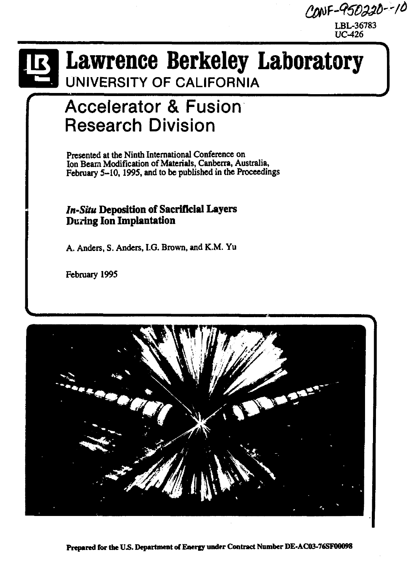CONF-950220--10

**LBL-36783 UC-426** 

# **Lawrence Berkeley Laboratory UNIVERSITY OF CALIFORNIA**

## **Accelerator & Fusion Research Division**

**Presented at the Ninth International Conference on Ion Beam Modification of Materials, Canberra, Australia, February 5-10,1995, and to be published in the Proceedings** 

### *In-Situ* **Deposition of Sacrificial Layers During Ion Implantation**

**A. Anders, S. Anders, I.G. Brown, and K.M. Yu** 

**February 1995** 

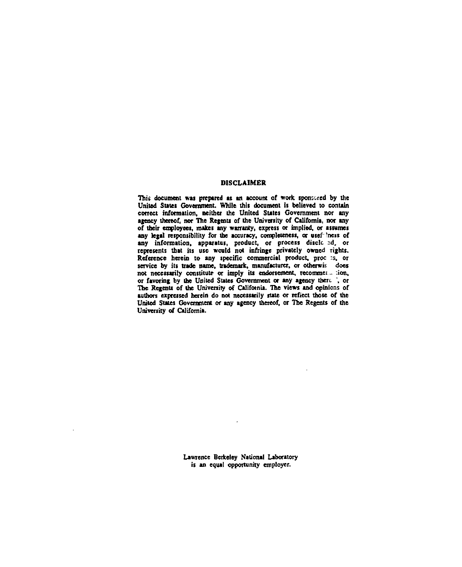#### **DISCLAIMER**

**This document was prepared as an account of work sponsored by the United States Government. While this document is believed to contain correct information, neither the United States Government nor any**  agency thereof, nor The Regents of the University of California, nor any **of their employees, makes any warranty, express or implied, or assumes**  any legal responsibility for the accuracy, completeness, or usef lness of any information, apparatus, product, or process discle ed, or **represents** that its use would not infringe privately owned rights. **Reference herein to any specific commercial product, proc :s, or service by its trade name, trademark, manufacturer, or otberwis does not necessarily constitute or imply its endorsement, recommei- .ion, or favoring by the United States Government or any agency there. ', or The Regents of the University of Califotnia. The views and opinions of authors expressed herein do not necessarily state or reflect those of the United States Government or any agency thereof, or The Regents of the University of California.** 

> **Lawrence Berkeley National Laboratory is an equal opportunity employer.**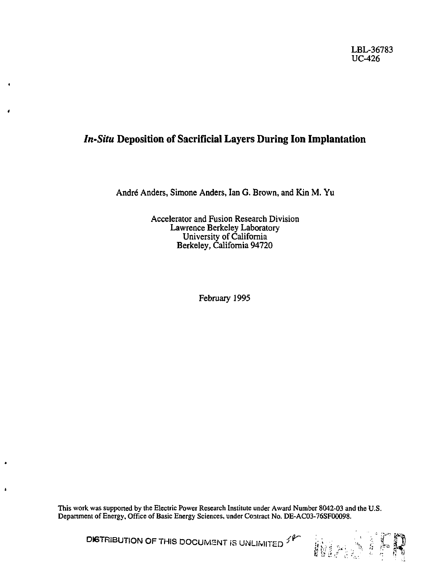## *In-Situ* **Deposition of Sacrificial Layers During Ion Implantation**

André Anders, Simone Anders, Ian G. Brown, and Kin M. Yu

Accelerator and Fusion Research Division Lawrence Berkeley Laboratory University of California Berkeley, California 94720

February 1995

This work was supported by the Electric Power Research Institute under Award Number 8042-03 and the U.S. Department of Energy, Office of Basic Energy Sciences, under Contract No. DE-AC03-76SF0O098.

**DISTRIBUTION OF THIS DOCUMENT** IS UNLIMITED <sup> $f$   $\uparrow$   $\uparrow$   $\downarrow$   $\downarrow$   $\downarrow$   $\downarrow$   $\downarrow$   $\downarrow$   $\downarrow$   $\downarrow$   $\downarrow$   $\downarrow$   $\downarrow$   $\downarrow$   $\downarrow$   $\downarrow$   $\downarrow$   $\downarrow$   $\downarrow$   $\downarrow$   $\downarrow$   $\downarrow$   $\downarrow$   $\downarrow$   $\downarrow$   $\downarrow$   $\downarrow$   $\downarrow$   $\downarrow$ 

 $\overline{\phantom{a}}$ 

 $\mathbf{r}$ 

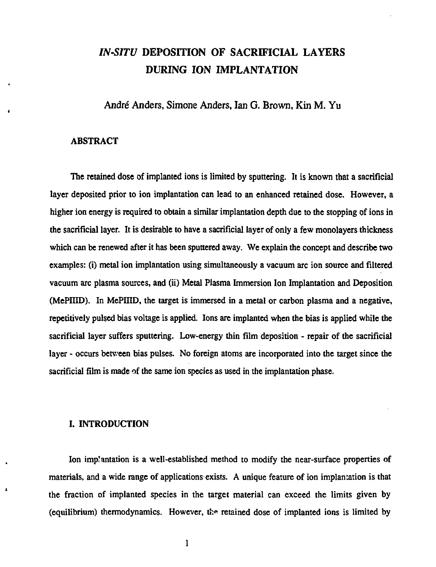## *IN-SITU* **DEPOSITION OF SACRIFICIAL LAYERS DURING ION IMPLANTATION**

**Andre Anders, Simone Anders, Ian G. Brown, Kin M. Yu** 

#### **ABSTRACT**

**The retained dose of implanted ions is limited by sputtering. It is known that a sacrificial layer deposited prior to ion implantation can lead to an enhanced retained dose. However, a higher ion energy is required to obtain a similar implantation depth due to the stopping of ions in the sacrificial layer. It is desirable to have a sacrificial layer of only a few monolayers thickness which can be renewed after it has been sputtered away. We explain the concept and describe two examples: (i) metal ion implantation using simultaneously a vacuum arc ion source and filtered vacuum arc plasma sources, and (ii) Metal Plasma Immersion Ion Implantation and Deposition (MePIIID). In MePIIID, the target is immersed in a metal or carbon plasma and a negative, repetitively pulsed bias voltage is applied. Ions are implanted when the bias is applied while the sacrificial layer suffers sputtering. Low-energy thin film deposition - repair of the sacrificial layer - occurs between bias pulses. No foreign atoms are incorporated into the target since the sacrificial film is made of the same ion species as used in the implantation phase.** 

#### **I. INTRODUCTION**

Ion implantation is a well-established method to modify the near-surface properties of **materials, and a wide range of applications exists. A unique feature of ion implantation is that the fraction of implanted species in the target material can exceed the limits given by**  (equilibrium) thermodynamics. However, the retained dose of implanted ions is limited by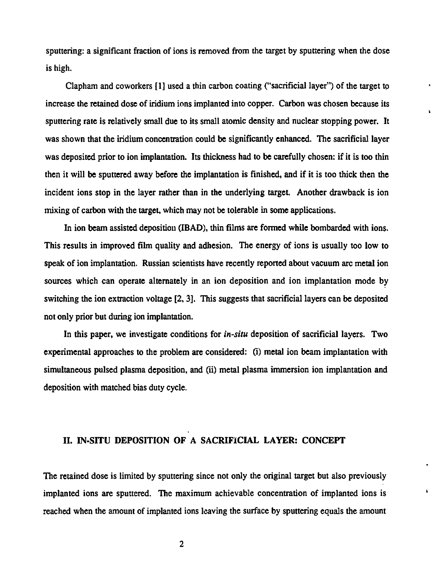**sputtering: a significant fraction of ions is removed from the target by sputtering when the dose is high.** 

**Clapham and coworkers [1] used a thin carbon coating ("sacrificial layer") of the target to increase the retained dose of iridium ions implanted into copper. Carbon was chosen because its sputtering rate is relatively small due to its small atomic density and nuclear stopping power. It was shown that the iridium concentration could be significantly enhanced. The sacrificial layer was deposited prior to ion implantation. Its thickness had to be carefully chosen: if it is too thin then it will be sputtered away before the implantation is finished, and if it is too thick then the incident ions stop in the layer rather than in the underlying target. Another drawback is ion mixing of carbon with the target, which may not be tolerable in some applications.** 

**In ion beam assisted deposition (IBAD), thin films are formed while bombarded with ions. This results in improved film quality and adhesion. The energy of ions is usually too low to speak of ion implantation. Russian scientists have recently reported about vacuum arc metal ion sources which can operate alternately in an ion deposition and ion implantation mode by switching the ion extraction voltage [2,3], This suggests that sacrificial layers can be deposited not only prior but during ion implantation.** 

**In this paper, we investigate conditions for** *in-situ* **deposition of sacrificial layers. Two experimental approaches to the problem are considered: (i) metal ion beam implantation with simultaneous pulsed plasma deposition, and (ii) metal plasma immersion ion implantation and deposition with matched bias duty cycle.** 

#### **II. IN-SITU DEPOSITION OF A SACRIFICIAL LAYER: CONCEPT**

**The retained dose is limited by sputtering since not only the original target but also previously implanted ions are sputtered. The maximum achievable concentration of implanted ions is reached when the amount of implanted ions leaving the surface by sputtering equals the amount** 

 $\pmb{\mathsf{L}}$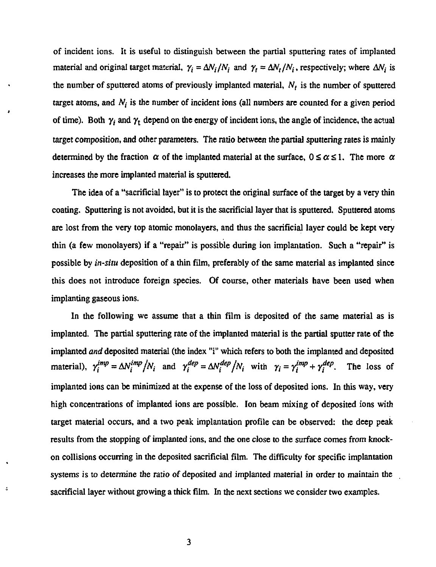of incident ions. It is useful to distinguish between the partial sputtering rates of implanted material and original target material,  $\gamma_i = \Delta N_i/N_i$  and  $\gamma_i = \Delta N_i/N_i$ , respectively; where  $\Delta N_i$  is the number of sputtered atoms of previously implanted material, *N<sup>t</sup>* is the number of sputtered target atoms, and  $N_i$  is the number of incident ions (all numbers are counted for a given period of time). Both  $\gamma_t$  and  $\gamma_t$  depend on the energy of incident ions, the angle of incidence, the actual target composition, and other parameters. The ratio between the partial sputtering rates is mainly determined by the fraction  $\alpha$  of the implanted material at the surface,  $0 \le \alpha \le 1$ . The more  $\alpha$ increases the more implanted material is sputtered.

The idea of a "sacrificial layer" is to protect the original surface of the target by a very thin coating. Sputtering is not avoided, but it is the sacrificial layer that is sputtered. Sputtered atoms are lost from the very top atomic monolayers, and thus the sacrificial layer could be kept very thin (a few monolayers) if a "repair" is possible during ion implantation. Such a "repair" is possible by *in-situ* deposition of a thin film, preferably of the same material as implanted since this does not introduce foreign species. Of course, other materials have been used when implanting gaseous ions.

In the following we assume that a thin film is deposited of the same material as is implanted. The partial sputtering rate of the implanted material is the partial sputter rate of the implanted *and* deposited material (the index "i" which refers to both the implanted and deposited material),  $\gamma_i^{imp} = \Delta N_i^{imp}/N_i$  and  $\gamma_i^{dep} = \Delta N_i^{dep}/N_i$  with  $\gamma_i = \gamma_i^{imp} + \gamma_i^{dep}$ . The loss of implanted ions can be minimized at the expense of the loss of deposited ions. In this way, very high concentrations of implanted ions are possible. Ion beam mixing of deposited ions with target material occurs, and a two peak implantation profile can be observed: the deep peak results from the stopping of implanted ions, and the one close to the surface comes from knockon collisions occurring in the deposited sacrificial film. The difficulty for specific implantation systems is to determine the ratio of deposited and implanted material in order to maintain the sacrificial layer without growing a thick film. In the next sections we consider two examples.

J.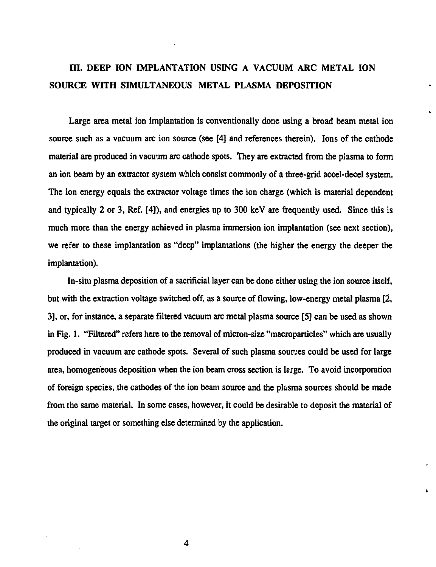## **III. DEEP ION IMPLANTATION USING A VACUUM ARC METAL ION SOURCE WITH SIMULTANEOUS METAL PLASMA DEPOSITION**

**Large area metal ion implantation is conventionally done using a broad beam metal ion source such as a vacuum arc ion source (see [4] and references therein). Ions of the cathode material are produced in vacuum arc cathode spots. They are extracted from the plasma to form an ion beam by an extractor system which consist commonly of a three-grid accel-decel system. The ion energy equals the extractor voltage times the ion charge (which is material dependent and typically 2 or 3, Ref. [4]), and energies up to 300 keV are frequently used. Since this is much more than the energy achieved in plasma immersion ion implantation (see next section), we refer to these implantation as "deep" implantations (the higher the energy the deeper the implantation).** 

**In-situ plasma deposition of a sacrificial layer can be done either using the ion source itself, but with the extraction voltage switched off, as a source of flowing, low-energy metal plasma [2, 3], or, for instance, a separate filtered vacuum arc metal plasma source [5] can be used as shown in Fig. 1. "Filtered" refers here to the removal of micron-size "macroparticles" which are usually produced in vacuum arc cathode spots. Several of such plasma sources could be used for large area, homogeneous deposition when the ion beam cross section is large. To avoid incorporation of foreign species, the cathodes of the ion beam source and the plasma sources should be made from the same material. In some cases, however, it could be desirable to deposit the material of the original target or something else determined by the application.** 

k,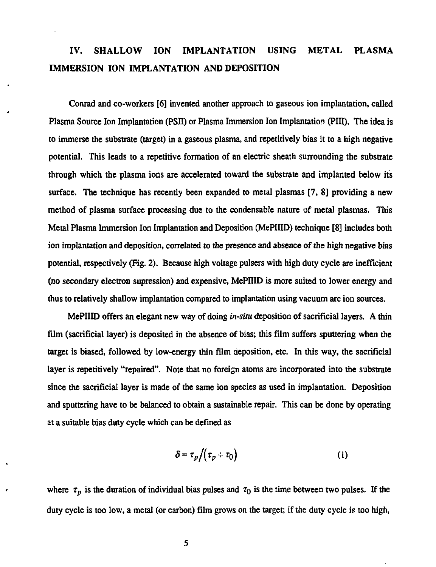## **IV. SHALLOW ION IMPLANTATION USING METAL PLASMA IMMERSION ION IMPLANTATION AND DEPOSITION**

Conrad and co-workers [6] invented another approach to gaseous ion implantation, called Plasma Source Ion Implantation (PSII) or Plasma Immersion Ion Implantation (PIII). The idea is to immerse the substrate (target) in a gaseous plasma, and repetitively bias it to a high negative potential. This leads to a repetitive formation of an electric sheath surrounding the substrate through which the plasma ions are accelerated toward the substrate and implanted below its surface. The technique has recently been expanded to metal plasmas [7, 8] providing a new method of plasma surface processing due to the condensable nature of metal plasmas. This Metal Plasma Immersion Ion Implantation and Deposition (MePIIID) technique [8] includes both ion implantation and deposition, correlated to the presence and absence of the high negative bias potential, respectively (Fig. 2). Because high voltage pulsers with high duty cycle are inefficient (no secondary electron supression) and expensive, MePIIID is more suited to lower energy and thus to relatively shallow implantation compared to implantation using vacuum arc ion sources.

MePIIID offers an elegant new way of doing *in-situ* deposition of sacrificial layers. A thin film (sacrificial layer) is deposited in the absence of bias; this film suffers sputtering when the target is biased, followed by low-energy thin film deposition, etc. In this way, the sacrificial layer is repetitively "repaired". Note that no foreign atoms are incorporated into the substrate since the sacrificial layer is made of the same ion species as used in implantation. Deposition and sputtering have to be balanced to obtain a sustainable repair. This can be done by operating at a suitable bias duty cycle which can be defined as

$$
\delta = \tau_p / (\tau_p + \tau_0) \tag{1}
$$

where  $\tau_p$  is the duration of individual bias pulses and  $\tau_0$  is the time between two pulses. If the duty cycle is too low, a metal (or carbon) film grows on the target; if the duty cycle is too high,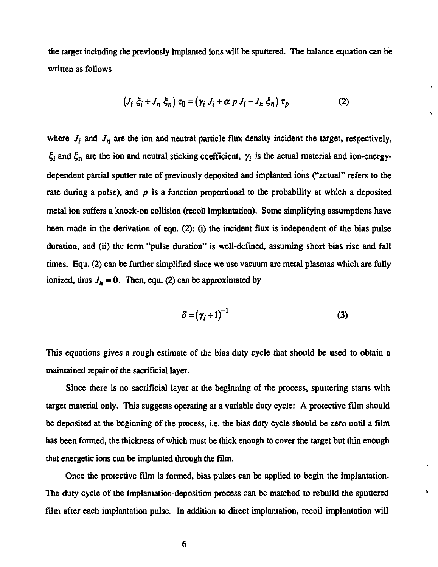**the target including the previously implanted ions will be sputtered. The balance equation can be written as follows** 

$$
(J_i \xi_i + J_n \xi_n) \tau_0 = (\gamma_i J_i + \alpha p J_i - J_n \xi_n) \tau_p \tag{2}
$$

where  $J_i$  and  $J_n$  are the ion and neutral particle flux density incident the target, respectively,  $\xi_i$  and  $\xi_n$  are the ion and neutral sticking coefficient,  $\gamma_i$  is the actual material and ion-energy**dependent partial sputter rate of previously deposited and implanted ions ("actual" refers to the rate during a pulse), and** *p* **is a function proportional to the probability at which a deposited metal ion suffers a knock-on collision (recoil implantation). Some simplifying assumptions have been made in the derivation of equ. (2): (i) the incident flux is independent of the bias pulse duration, and (ii) the term "pulse duration" is well-defined, assuming short bias rise and fall times. Equ. (2) can be further simplified since we use vacuum arc metal plasmas which are fully ionized, thus**  $J_n = 0$ . Then, equ. (2) can be approximated by

$$
\delta = (\gamma_i + 1)^{-1} \tag{3}
$$

 $\mathbf{r}$ 

**This equations gives a rough estimate of the bias duty cycle that should be used to obtain a maintained repair of the sacrificial layer.** 

**Since there is no sacrificial layer at the beginning of the process, sputtering starts with target material only. This suggests operating at a variable duty cycle: A protective film should be deposited at the beginning of the process, i.e. the bias duty cycle should be zero until a film has been formed, the thickness of which must be thick enough to cover the target but thin enough that energetic ions can be implanted through the film.** 

**Once the protective film is formed, bias pulses can be applied to begin the implantation. The duty cycle of the implantation-deposition process can be matched to rebuild the sputtered film after each implantation pulse. In addition to direct implantation, recoil implantation will**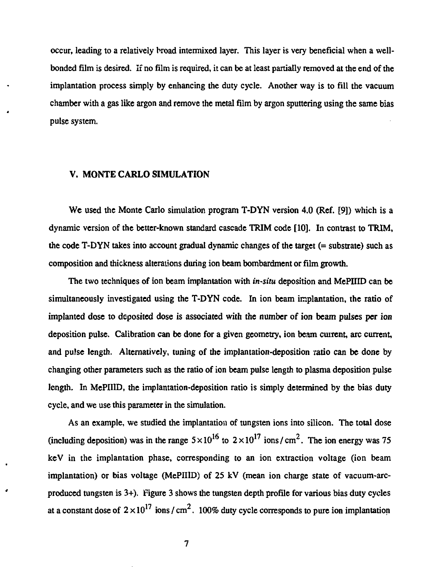occur, leading to a relatively broad intermixed layer. This layer is very beneficial when a wellbonded film is desired. If no film is required, it can be at least partially removed at the end of the implantation process simply by enhancing the duty cycle. Another way is to fill the vacuum chamber with a gas like argon and remove the metal film by argon sputtering using the same bias pulse system.

#### **V. MONTE CARLO SIMULATION**

We used the Monte Carlo simulation program T-DYN version 4.0 (Ref. [9]) which is a dynamic version of the better-known standard cascade TRIM code [10]. In contrast to TRIM, the code T-DYN takes into account gradual dynamic changes of the target (= substrate) such as composition and thickness alterations during ion beam bombardment or film growth.

The two techniques of ion beam implantation with *in-situ* deposition and MePIIID can be simultaneously investigated using the T-DYN code. In ion beam implantation, the ratio of implanted dose to deposited dose is associated with the number of ion beam pulses per ion deposition pulse. Calibration can be done for a given geometry, ion beam current, arc current, and pulse length. Alternatively, tuning of the implantation-deposition ratio can be done by changing other parameters such as the ratio of ion beam pulse length to plasma deposition pulse length. In MePIIID, the implantation-deposition ratio is simply determined by the bias duty cycle, and we use this parameter in the simulation.

As an example, we studied the implantation of tungsten ions into silicon. The total dose (including deposition) was in the range  $5 \times 10^{16}$  to  $2 \times 10^{17}$  ions/cm<sup>2</sup>. The ion energy was 75 keV in the implantation phase, corresponding to an ion extraction voltage (ion beam implantation) or bias voltage (MePIIID) of 25 kV (mean ion charge state of vacuum-arcproduced tungsten is 3+). Figure 3 shows the tungsten depth profile for various bias duty cycles at a constant dose of  $2 \times 10^{17}$  ions / cm<sup>2</sup>. 100% duty cycle corresponds to pure ion implantation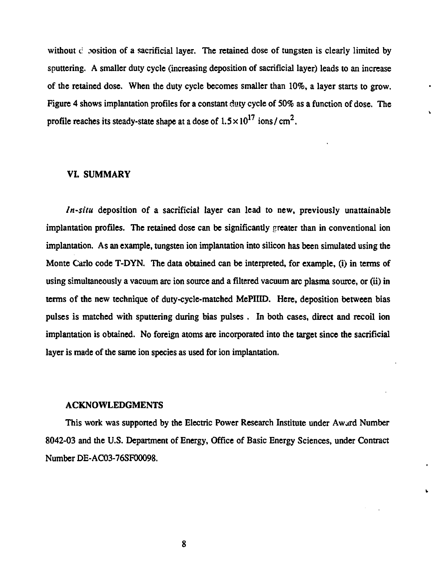without c sosition of a sacrificial layer. The retained dose of tungsten is clearly limited by **sputtering. A smaller duty cycle (increasing deposition of sacrificial layer) leads to an increase of the retained dose. When the duty cycle becomes smaller than 10%, a layer starts to grow. Figure 4 shows implantation profiles for a constant duty cycle of 50% as a function of dose. The**  profile reaches its steady-state shape at a dose of  $1.5 \times 10^{17}$  ions/cm<sup>2</sup>.

#### **VI. SUMMARY**

*In-situ* **deposition of a sacrificial layer can lead to new, previously unattainable implantation profiles. The retained dose can be significantly greater than in conventional ion implantation. As an example, tungsten ion implantation into silicon has been simulated using the Monte Carlo code T-DYN. The data obtained can be interpreted, for example, (i) in terms of using simultaneously a vacuum arc ion source and a filtered vacuum arc plasma source, or (ii) in terms of the new technique of duty-cycle-matched MePIIID. Here, deposition between bias pulses is matched with sputtering during bias pulses . In both cases, direct and recoil ion implantation is obtained. No foreign atoms are incorporated into the target since the sacrificial layer is made of the same ion species as used for ion implantation.** 

#### **ACKNOWLEDGMENTS**

**This work was supported by the Electric Power Research Institute under Award Number 8042-03 and the U.S. Department of Energy, Office of Basic Energy Sciences, under Contract Number DE-AC03-76SF00098.**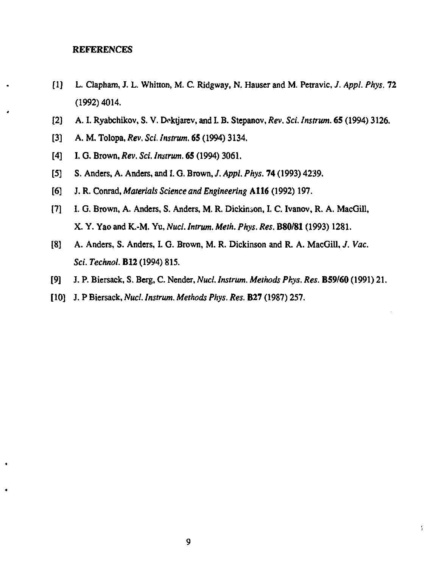#### REFERENCES

- [1] L. Clapham, J. L. Whitton, M. C. Ridgway, N. Hauser and M. Petravic, *J. Appl. Phys.* 72 (1992)4014.
- [2] A. I. Ryabchikov, S. V. Doktjarev, and I. B. Stepanov, *Rev. Sci. Instrum.* **65** (1994) 3126.
- [3] A. M. Tolopa, *Rev. Sci. Instrum.* **65** (1994) 3134.
- [4] I. G. Brown, *Rev. Sci. Instrum.* **65** (1994) 3061.
- [5] S. Anders, A. Anders, and I. G. Brown, /. *Appl. Phys.* 74 (1993) 4239.
- [6] J. R. Conrad, *Materials Science and Engineering* **A116** (1992) 197.
- [7] I. G. Brown, A. Anders, S. Anders, M. R. Dickinson, I. C. Ivanov, R. A. MacGill, X. Y. Yao and K.-M. Yu, *Nucl. Intrum. Meth. Phys. Res.* **B80/81** (1993) 1281.
- [8] A. Anders, S. Anders, I. G. Brown, M. R. Dickinson and R. A. MacGill, *J. Vac. [Sci.Technol.E12](http://Sci.Technol.E12)* (1994) 815.
- [9] J. P. Biersack, S. Berg, C. Nender, *Nucl. Instrum. Methods Pkys. Res.* **B59/60** (1991) 21.
- [ 10] J. P Biersack, *Nucl. Instrum. Methods Phys. Res.* **B27** (1987) 257.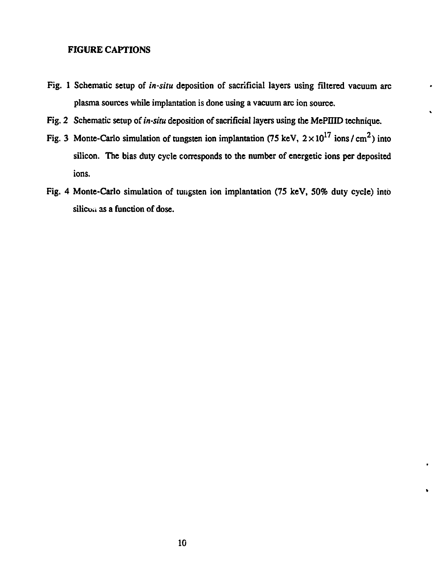#### **FIGURE CAPTIONS**

- **Fig. 1 Schematic setup of** *in-situ* **deposition of sacrificial layers using filtered vacuum arc plasma sources while implantation is done using a vacuum arc ion source.**
- **Fig. 2 Schematic setup of** *in-situ* **deposition of sacrificial layers using the MePIIID technique.**
- Fig. 3 Monte-Carlo simulation of tungsten ion implantation (75 keV,  $2 \times 10^{17}$  ions / cm<sup>2</sup>) into **silicon. The bias duty cycle corresponds to the number of energetic ions per deposited ions.**
- **Fig. 4 Monte-Carlo simulation of tungsten ion implantation (75 keV, 50% duty cycle) into silicu.i as a function of dose.**

**\*** 

 $\bullet$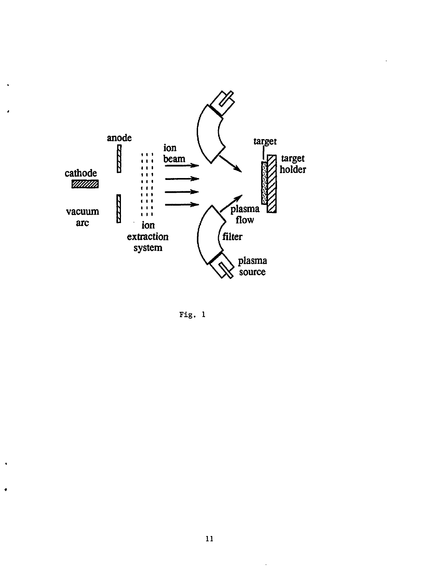

 $\ddot{\phantom{a}}$ 

ź

 $\ddot{\phantom{a}}$ 

 $\bullet$ 

Fig. 1

 $\sim$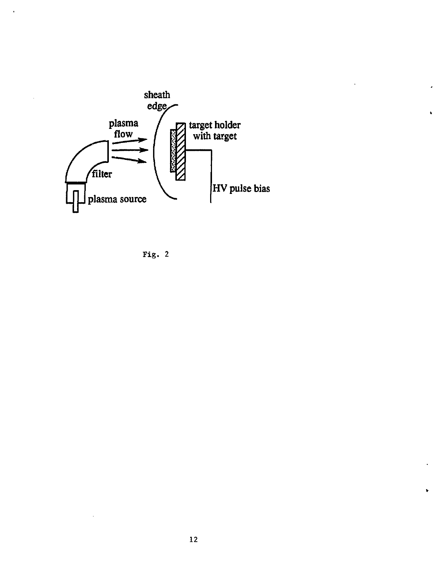

 $\bullet$ 

 $\ddot{\phantom{0}}$ 

 $\ddot{\phantom{0}}$ 

 $\bar{z}$ 

Fig. 2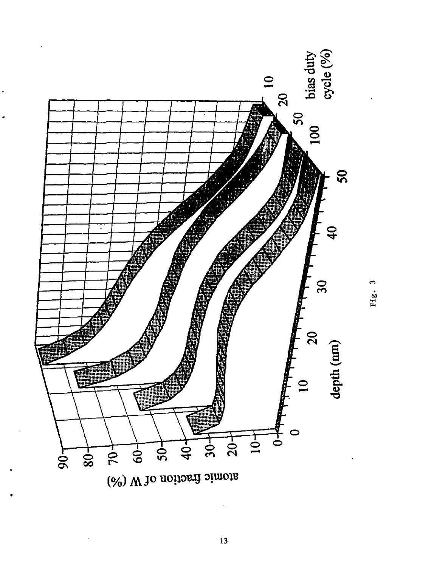

Fig. 3